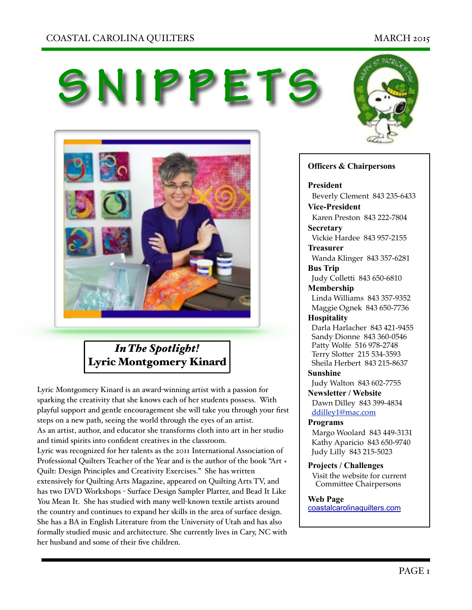## COASTAL CAROLINA QUILTERS MARCH 2015





# *In The Spotlight!* Lyric Montgomery Kinard

Lyric Montgomery Kinard is an award-winning artist with a passion for sparking the creativity that she knows each of her students possess. With playful support and gentle encouragement she will take you through your first steps on a new path, seeing the world through the eyes of an artist. As an artist, author, and educator she transforms cloth into art in her studio and timid spirits into confident creatives in the classroom. Lyric was recognized for her talents as the 2011 International Association of Professional Quilters Teacher of the Year and is the author of the book "Art + Quilt: Design Principles and Creativity Exercises." She has written extensively for Quilting Arts Magazine, appeared on Quilting Arts TV, and has two DVD Workshops - Surface Design Sampler Platter, and Bead It Like You Mean It. She has studied with many well-known textile artists around the country and continues to expand her skills in the area of surface design. She has a BA in English Literature from the University of Utah and has also formally studied music and architecture. She currently lives in Cary, NC with her husband and some of their five children.



### **Officers & Chairpersons**

#### **President**

Beverly Clement 843 235-6433

**Vice-President**  Karen Preston 843 222-7804 **Secretary** 

Vickie Hardee 843 957-2155

**Treasurer** 

 Wanda Klinger 843 357-6281 **Bus Trip** 

 Judy Colletti 843 650-6810 **Membership** 

 Linda Williams 843 357-9352 Maggie Ognek 843 650-7736

### **Hospitality**  Darla Harlacher 843 421-9455 Sandy Dionne 843 360-0546 Patty Wolfe 516 978-2748 Terry Slotter 215 534-3593

 Sheila Herbert 843 215-8637 **Sunshine** 

Judy Walton 843 602-7755

**Newsletter / Website** Dawn Dilley 843 399-4834 [ddilley1@mac.com](mailto:ddilley1@mac.com)

### **Programs**

Margo Woolard 843 449-3131 Kathy Aparicio 843 650-9740 Judy Lilly 843 215-5023

**Projects / Challenges**  Visit the website for current Committee Chairpersons

#### **Web Page**

[coastalcarolinaquilters.com](http://coastalcarolinaquilters.com)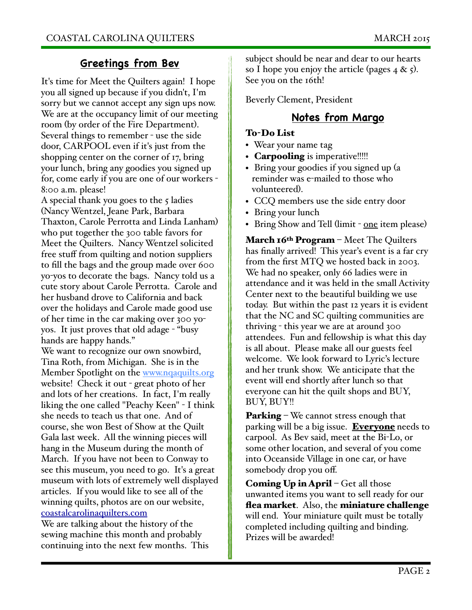# **Greetings from Bev**

It's time for Meet the Quilters again! I hope you all signed up because if you didn't, I'm sorry but we cannot accept any sign ups now. We are at the occupancy limit of our meeting room (by order of the Fire Department). Several things to remember - use the side door, CARPOOL even if it's just from the shopping center on the corner of 17, bring your lunch, bring any goodies you signed up for, come early if you are one of our workers - 8:00 a.m. please!

A special thank you goes to the 5 ladies (Nancy Wentzel, Jeane Park, Barbara Thaxton, Carole Perrotta and Linda Lanham) who put together the 300 table favors for Meet the Quilters. Nancy Wentzel solicited free stuff from quilting and notion suppliers to fill the bags and the group made over 600 yo-yos to decorate the bags. Nancy told us a cute story about Carole Perrotta. Carole and her husband drove to California and back over the holidays and Carole made good use of her time in the car making over 300 yoyos. It just proves that old adage - "busy hands are happy hands."

We want to recognize our own snowbird, Tina Roth, from Michigan. She is in the Member Spotlight on the [www.nqaquilts.org](http://www.nqaquilts.org/) website! Check it out - great photo of her and lots of her creations. In fact, I'm really liking the one called "Peachy Keen" - I think she needs to teach us that one. And of course, she won Best of Show at the Quilt Gala last week. All the winning pieces will hang in the Museum during the month of March. If you have not been to Conway to see this museum, you need to go. It's a great museum with lots of extremely well displayed articles. If you would like to see all of the winning quilts, photos are on our website, [coastalcarolinaquilters.com](http://coastalcarolinaquilters.com)

We are talking about the history of the sewing machine this month and probably continuing into the next few months. This subject should be near and dear to our hearts so I hope you enjoy the article (pages  $4 \& 5$ ). See you on the 16th!

Beverly Clement, President

# **Notes from Margo**

## To-Do List

- Wear your name tag
- Carpooling is imperative!!!!!
- Bring your goodies if you signed up (a reminder was e-mailed to those who volunteered).
- CCQ members use the side entry door
- Bring your lunch
- Bring Show and Tell (limit one item please)

**March 16th Program – Meet The Quilters** has finally arrived! This year's event is a far cry from the first MTQ we hosted back in 2003. We had no speaker, only 66 ladies were in attendance and it was held in the small Activity Center next to the beautiful building we use today. But within the past 12 years it is evident that the NC and SC quilting communities are thriving - this year we are at around 300 attendees. Fun and fellowship is what this day is all about. Please make all our guests feel welcome. We look forward to Lyric's lecture and her trunk show. We anticipate that the event will end shortly after lunch so that everyone can hit the quilt shops and BUY, BUY, BUY!!

Parking - We cannot stress enough that parking will be a big issue. **Everyone** needs to carpool. As Bev said, meet at the Bi-Lo, or some other location, and several of you come into Oceanside Village in one car, or have somebody drop you off.

Coming Up in April – Get all those unwanted items you want to sell ready for our flea market. Also, the miniature challenge will end. Your miniature quilt must be totally completed including quilting and binding. Prizes will be awarded!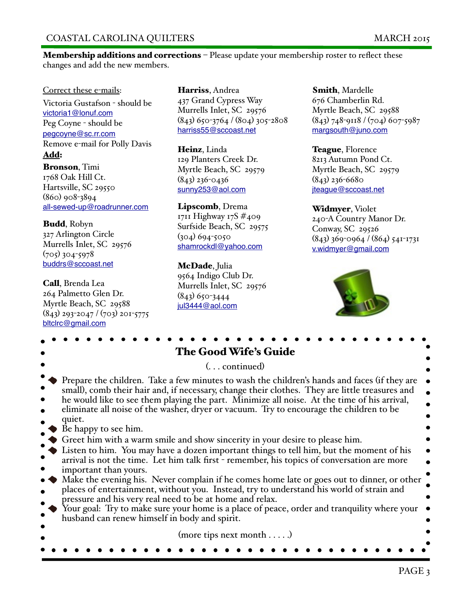Membership additions and corrections - Please update your membership roster to reflect these changes and add the new members.

Correct these e-mails: Victoria Gustafson - should be [victoria1@lonuf.com](mailto:victoria1@lonuf.com) Peg Coyne - should be [pegcoyne@sc.rr.com](mailto:pegcoyne@sc.rr.com) Remove e-mail for Polly Davis Add:

Bronson, Timi 1768 Oak Hill Ct. Hartsville, SC 29550 (860) 908-3894 [all-sewed-up@roadrunner.com](mailto:all-sewed-up@roadrunner.com)

Budd, Robyn 327 Arlington Circle Murrells Inlet, SC 29576  $(705)$  304-5978 [buddrs@sccoast.net](mailto:buddrs@sccoast.net)

Call, Brenda Lea 264 Palmetto Glen Dr. Myrtle Beach, SC 29588 (843) 293-2047 / (703) 201-5775 [bltclrc@gmail.com](mailto:bltclrc@gmail.com)

Harriss, Andrea 437 Grand Cypress Way Murrells Inlet, SC 29576  $(843)$  650-3764 /  $(804)$  305-2808 [harriss55@sccoast.net](mailto:harriss55@sccoast.net)

Heinz, Linda 129 Planters Creek Dr. Myrtle Beach, SC 29579  $(843)$  236-0436 [sunny253@aol.com](mailto:sunny253@aol.com)

Lipscomb, Drema 1711 Highway 17S #409 Surfside Beach, SC 29575  $(304)$  694-5050 [shamrockdl@yahoo.com](mailto:shamrockdl@yahoo.com)

McDade, Julia 9564 Indigo Club Dr. Murrells Inlet, SC 29576  $(843)$  650-3444 [jul3444@aol.com](mailto:jul3444@aol.com)

Smith, Mardelle 676 Chamberlin Rd. Myrtle Beach, SC 29588 (843) 748-9118 / (704) 607-5987 [margsouth@juno.com](mailto:margsouth@juno.com)

Teague, Florence 8213 Autumn Pond Ct. Myrtle Beach, SC 29579  $(843)$  236-6680 [jteague@sccoast.net](mailto:jteague@sccoast.net)

Widmyer, Violet 240-A Country Manor Dr. Conway, SC 29526 (843) 369-0964 / (864) 541-1731 [v.widmyer@gmail.com](mailto:v.widmyer@gmail.com)



| The Good Wife's Guide                                                                                                                                                                                                                                                                                                                                                                              |
|----------------------------------------------------------------------------------------------------------------------------------------------------------------------------------------------------------------------------------------------------------------------------------------------------------------------------------------------------------------------------------------------------|
| $($ continued)                                                                                                                                                                                                                                                                                                                                                                                     |
| Prepare the children. Take a few minutes to wash the children's hands and faces (if they are<br>small), comb their hair and, if necessary, change their clothes. They are little treasures and<br>he would like to see them playing the part. Minimize all noise. At the time of his arrival,<br>eliminate all noise of the washer, dryer or vacuum. Try to encourage the children to be<br>quiet. |
| Be happy to see him.                                                                                                                                                                                                                                                                                                                                                                               |
| Greet him with a warm smile and show sincerity in your desire to please him.<br>Listen to him. You may have a dozen important things to tell him, but the moment of his<br>arrival is not the time. Let him talk first - remember, his topics of conversation are more<br>important than yours.                                                                                                    |
| Make the evening his. Never complain if he comes home late or goes out to dinner, or other<br>places of entertainment, without you. Instead, try to understand his world of strain and<br>pressure and his very real need to be at home and relax.<br>Your goal: Try to make sure your home is a place of peace, order and tranquility where your<br>husband can renew himself in body and spirit. |
| (more tips next month )                                                                                                                                                                                                                                                                                                                                                                            |
|                                                                                                                                                                                                                                                                                                                                                                                                    |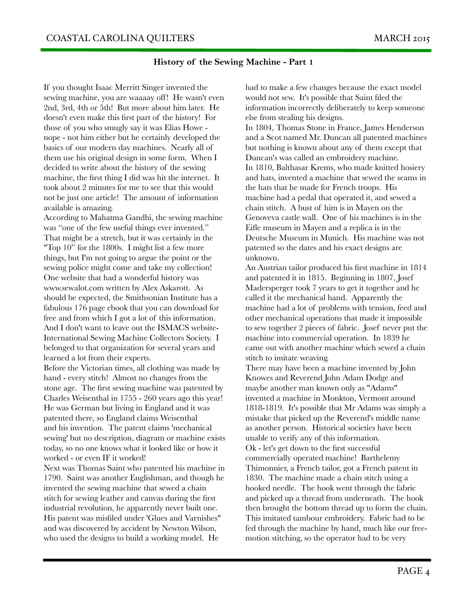### **History of the Sewing Machine - Part 1**

If you thought Isaac Merritt Singer invented the sewing machine, you are waaaay off! He wasn't even 2nd, 3rd, 4th or 5th! But more about him later. He doesn't even make this first part of the history! For those of you who smugly say it was Elias Howe nope - not him either but he certainly developed the basics of our modern day machines. Nearly all of them use his original design in some form. When I decided to write about the history of the sewing machine, the first thing I did was hit the internet. It took about 2 minutes for me to see that this would not be just one article! The amount of information available is amazing.

According to Mahatma Gandhi, the sewing machine was "one of the few useful things ever invented." That might be a stretch, but it was certainly in the "Top 10" for the 1800s. I might list a few more things, but I'm not going to argue the point or the sewing police might come and take my collection! One website that had a wonderful history was [www.sewalot.com](http://www.sewalot.com/) written by Alex Askarott. As should be expected, the Smithsonian Institute has a fabulous 176 page ebook that you can download for free and from which I got a lot of this information. And I don't want to leave out the ISMACS website-International Sewing Machine Collectors Society. I belonged to that organization for several years and learned a lot from their experts.

Before the Victorian times, all clothing was made by hand - every stitch! Almost no changes from the stone age. The first sewing machine was patented by Charles Weisenthal in 1755 - 260 years ago this year! He was German but living in England and it was patented there, so England claims Weisenthal and his invention. The patent claims 'mechanical sewing' but no description, diagram or machine exists today, so no one knows what it looked like or how it worked - or even IF it worked!

Next was Thomas Saint who patented his machine in 1790. Saint was another Englishman, and though he invented the sewing machine that sewed a chain stitch for sewing leather and canvas during the first industrial revolution, he apparently never built one. His patent was misfiled under 'Glues and Varnishes" and was discovered by accident by Newton Wilson, who used the designs to build a working model. He

had to make a few changes because the exact model would not sew. It's possible that Saint filed the information incorrectly deliberately to keep someone else from stealing his designs. In 1804, Thomas Stone in France, James Henderson and a Scot named Mr. Duncan all patented machines but nothing is known about any of them except that Duncan's was called an embroidery machine. In 1810, Balthasar Krems, who made knitted hosiery and hats, invented a machine that sewed the seams in

the hats that he made for French troops. His machine had a pedal that operated it, and sewed a chain stitch. A bust of him is in Mayen on the Genoveva castle wall. One of his machines is in the Eifle museum in Mayen and a replica is in the Deutsche Museum in Munich. His machine was not patented so the dates and his exact designs are unknown.

An Austrian tailor produced his first machine in 1814 and patented it in 1815. Beginning in 1807, Josef Madersperger took 7 years to get it together and he called it the mechanical hand. Apparently the machine had a lot of problems with tension, feed and other mechanical operations that made it impossible to sew together 2 pieces of fabric. Josef never put the machine into commercial operation. In 1839 he came out with another machine which sewed a chain stitch to imitate weaving.

There may have been a machine invented by John Knowes and Reverend John Adam Dodge and maybe another man known only as "Adams" invented a machine in Monkton, Vermont around 1818-1819. It's possible that Mr Adams was simply a mistake that picked up the Reverend's middle name as another person. Historical societies have been unable to verify any of this information. Ok - let's get down to the first successful commercially operated machine! Barthelemy Thimonnier, a French tailor, got a French patent in 1830. The machine made a chain stitch using a hooked needle. The hook went through the fabric and picked up a thread from underneath. The hook then brought the bottom thread up to form the chain. This imitated tambour embroidery. Fabric had to be fed through the machine by hand, much like our freemotion stitching, so the operator had to be very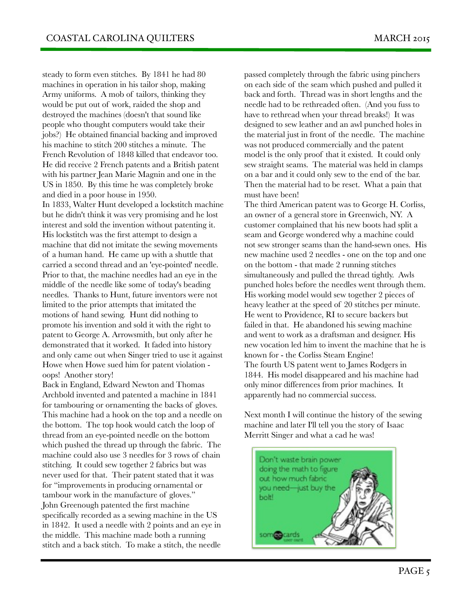steady to form even stitches. By 1841 he had 80 machines in operation in his tailor shop, making Army uniforms. A mob of tailors, thinking they would be put out of work, raided the shop and destroyed the machines (doesn't that sound like people who thought computers would take their jobs?) He obtained financial backing and improved his machine to stitch 200 stitches a minute. The French Revolution of 1848 killed that endeavor too. He did receive 2 French patents and a British patent with his partner Jean Marie Magnin and one in the US in 1850. By this time he was completely broke and died in a poor house in 1950. In 1833, Walter Hunt developed a lockstitch machine but he didn't think it was very promising and he lost interest and sold the invention without patenting it. His lockstitch was the first attempt to design a machine that did not imitate the sewing movements of a human hand. He came up with a shuttle that carried a second thread and an 'eye-pointed' needle. Prior to that, the machine needles had an eye in the middle of the needle like some of today's beading needles. Thanks to Hunt, future inventors were not limited to the prior attempts that imitated the motions of hand sewing. Hunt did nothing to promote his invention and sold it with the right to patent to George A. Arrowsmith, but only after he demonstrated that it worked. It faded into history and only came out when Singer tried to use it against Howe when Howe sued him for patent violation oops! Another story!

Back in England, Edward Newton and Thomas Archbold invented and patented a machine in 1841 for tambouring or ornamenting the backs of gloves. This machine had a hook on the top and a needle on the bottom. The top hook would catch the loop of thread from an eye-pointed needle on the bottom which pushed the thread up through the fabric. The machine could also use 3 needles for 3 rows of chain stitching. It could sew together 2 fabrics but was never used for that. Their patent stated that it was for "improvements in producing ornamental or tambour work in the manufacture of gloves." John Greenough patented the first machine specifically recorded as a sewing machine in the US in 1842. It used a needle with 2 points and an eye in the middle. This machine made both a running stitch and a back stitch. To make a stitch, the needle

passed completely through the fabric using pinchers on each side of the seam which pushed and pulled it back and forth. Thread was in short lengths and the needle had to be rethreaded often. (And you fuss to have to rethread when your thread breaks!) It was designed to sew leather and an awl punched holes in the material just in front of the needle. The machine was not produced commercially and the patent model is the only proof that it existed. It could only sew straight seams. The material was held in clamps on a bar and it could only sew to the end of the bar. Then the material had to be reset. What a pain that must have been!

The third American patent was to George H. Corliss, an owner of a general store in Greenwich, NY. A customer complained that his new boots had split a seam and George wondered why a machine could not sew stronger seams than the hand-sewn ones. His new machine used 2 needles - one on the top and one on the bottom - that made 2 running stitches simultaneously and pulled the thread tightly. Awls punched holes before the needles went through them. His working model would sew together 2 pieces of heavy leather at the speed of 20 stitches per minute. He went to Providence, RI to secure backers but failed in that. He abandoned his sewing machine and went to work as a draftsman and designer. His new vocation led him to invent the machine that he is known for - the Corliss Steam Engine! The fourth US patent went to James Rodgers in 1844. His model disappeared and his machine had only minor differences from prior machines. It apparently had no commercial success.

Next month I will continue the history of the sewing machine and later I'll tell you the story of Isaac Merritt Singer and what a cad he was!